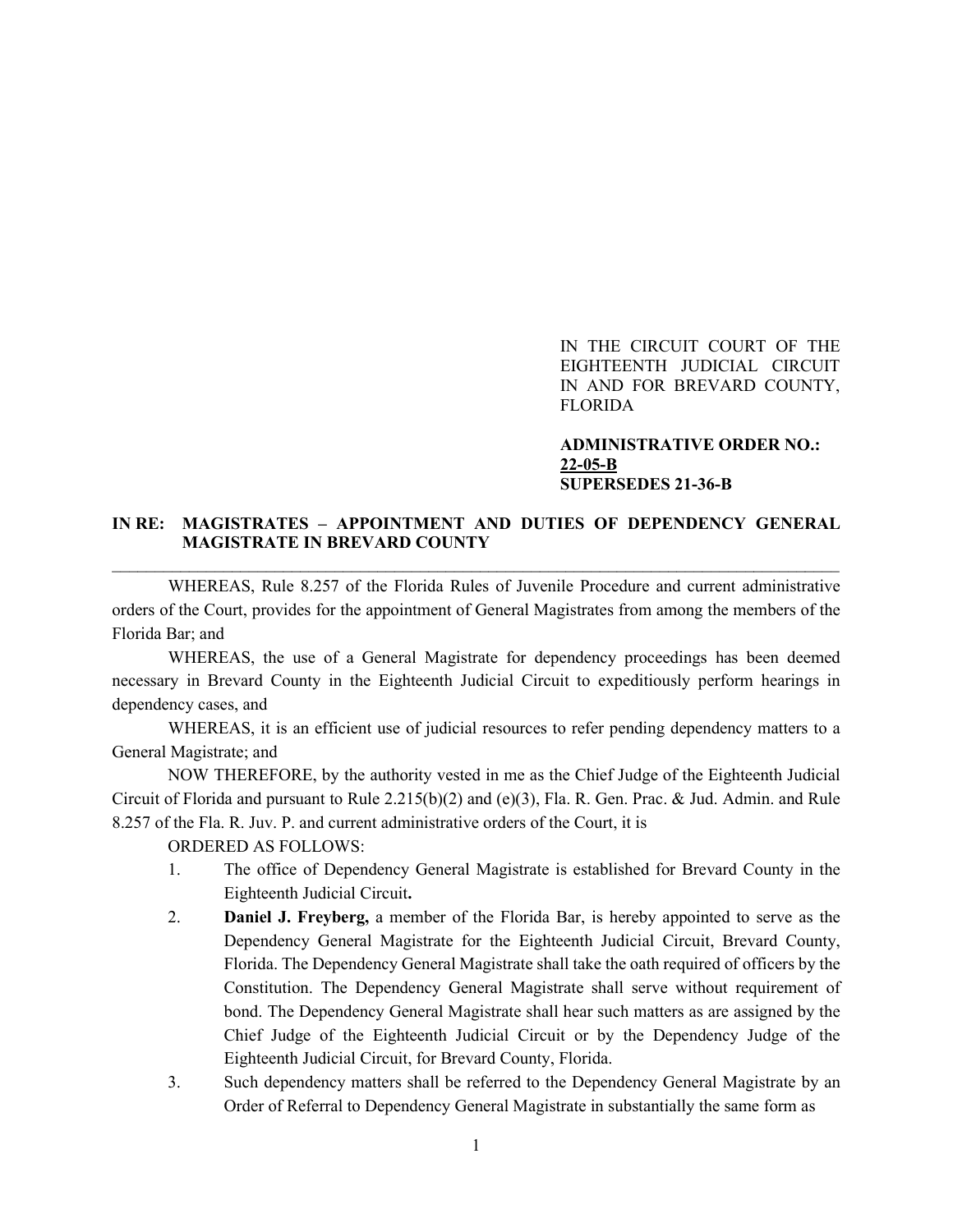IN THE CIRCUIT COURT OF THE EIGHTEENTH JUDICIAL CIRCUIT IN AND FOR BREVARD COUNTY, FLORIDA

### **ADMINISTRATIVE ORDER NO.: 22-05-B SUPERSEDES 21-36-B**

# **IN RE: MAGISTRATES – APPOINTMENT AND DUTIES OF DEPENDENCY GENERAL MAGISTRATE IN BREVARD COUNTY** \_\_\_\_\_\_\_\_\_\_\_\_\_\_\_\_\_\_\_\_\_\_\_\_\_\_\_\_\_\_\_\_\_\_\_\_\_\_\_\_\_\_\_\_\_\_\_\_\_\_\_\_\_\_\_\_\_\_\_\_\_\_\_\_\_\_\_\_\_\_\_\_\_\_\_\_\_\_\_\_\_\_\_\_\_

WHEREAS, Rule 8.257 of the Florida Rules of Juvenile Procedure and current administrative orders of the Court, provides for the appointment of General Magistrates from among the members of the Florida Bar; and

WHEREAS, the use of a General Magistrate for dependency proceedings has been deemed necessary in Brevard County in the Eighteenth Judicial Circuit to expeditiously perform hearings in dependency cases, and

WHEREAS, it is an efficient use of judicial resources to refer pending dependency matters to a General Magistrate; and

NOW THEREFORE, by the authority vested in me as the Chief Judge of the Eighteenth Judicial Circuit of Florida and pursuant to Rule 2.215(b)(2) and (e)(3), Fla. R. Gen. Prac. & Jud. Admin. and Rule 8.257 of the Fla. R. Juv. P. and current administrative orders of the Court, it is

ORDERED AS FOLLOWS:

- 1. The office of Dependency General Magistrate is established for Brevard County in the Eighteenth Judicial Circuit**.**
- 2. **Daniel J. Freyberg,** a member of the Florida Bar, is hereby appointed to serve as the Dependency General Magistrate for the Eighteenth Judicial Circuit, Brevard County, Florida. The Dependency General Magistrate shall take the oath required of officers by the Constitution. The Dependency General Magistrate shall serve without requirement of bond. The Dependency General Magistrate shall hear such matters as are assigned by the Chief Judge of the Eighteenth Judicial Circuit or by the Dependency Judge of the Eighteenth Judicial Circuit, for Brevard County, Florida.
- 3. Such dependency matters shall be referred to the Dependency General Magistrate by an Order of Referral to Dependency General Magistrate in substantially the same form as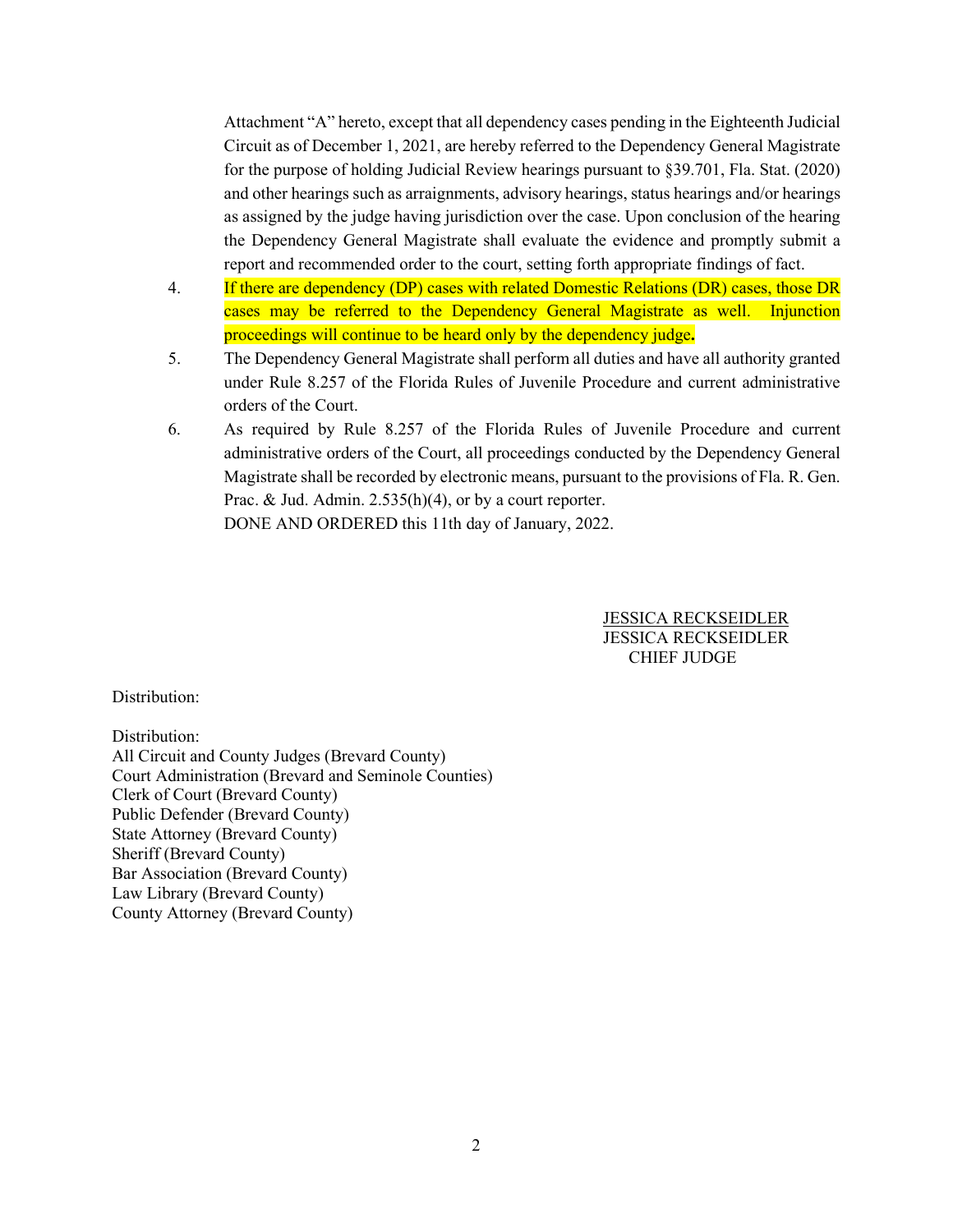Attachment "A" hereto, except that all dependency cases pending in the Eighteenth Judicial Circuit as of December 1, 2021, are hereby referred to the Dependency General Magistrate for the purpose of holding Judicial Review hearings pursuant to §39.701, Fla. Stat. (2020) and other hearings such as arraignments, advisory hearings, status hearings and/or hearings as assigned by the judge having jurisdiction over the case. Upon conclusion of the hearing the Dependency General Magistrate shall evaluate the evidence and promptly submit a report and recommended order to the court, setting forth appropriate findings of fact.

- 4. If there are dependency (DP) cases with related Domestic Relations (DR) cases, those DR cases may be referred to the Dependency General Magistrate as well. Injunction proceedings will continue to be heard only by the dependency judge**.**
- 5. The Dependency General Magistrate shall perform all duties and have all authority granted under Rule 8.257 of the Florida Rules of Juvenile Procedure and current administrative orders of the Court.
- 6. As required by Rule 8.257 of the Florida Rules of Juvenile Procedure and current administrative orders of the Court, all proceedings conducted by the Dependency General Magistrate shall be recorded by electronic means, pursuant to the provisions of Fla. R. Gen. Prac. & Jud. Admin. 2.535(h)(4), or by a court reporter. DONE AND ORDERED this 11th day of January, 2022.

 JESSICA RECKSEIDLER JESSICA RECKSEIDLER CHIEF JUDGE

Distribution:

Distribution: All Circuit and County Judges (Brevard County) Court Administration (Brevard and Seminole Counties) Clerk of Court (Brevard County) Public Defender (Brevard County) State Attorney (Brevard County) Sheriff (Brevard County) Bar Association (Brevard County) Law Library (Brevard County) County Attorney (Brevard County)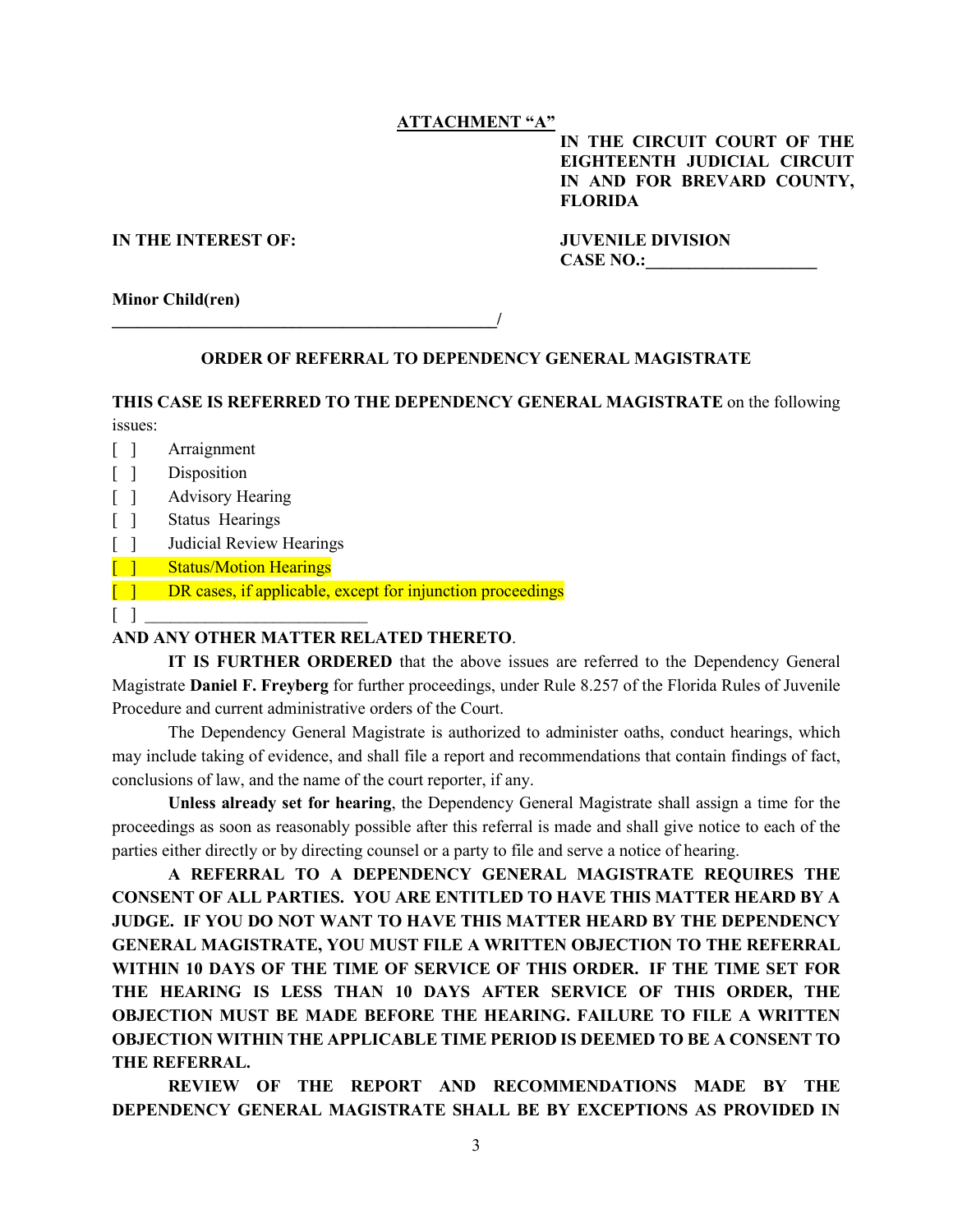### **ATTACHMENT "A"**

**IN THE CIRCUIT COURT OF THE EIGHTEENTH JUDICIAL CIRCUIT IN AND FOR BREVARD COUNTY, FLORIDA**

#### **IN THE INTEREST OF: JUVENILE DIVISION**

CASE NO.:

**Minor Child(ren)**

#### **ORDER OF REFERRAL TO DEPENDENCY GENERAL MAGISTRATE**

**THIS CASE IS REFERRED TO THE DEPENDENCY GENERAL MAGISTRATE** on the following issues:

- [ ] Arraignment
- [ ] Disposition
- [ ] Advisory Hearing
- [ ] Status Hearings
- [ ] Judicial Review Hearings
- [ ] Status/Motion Hearings
- [ ] DR cases, if applicable, except for injunction proceedings
- $\begin{bmatrix} 1 & 1 \end{bmatrix}$

# **AND ANY OTHER MATTER RELATED THERETO**.

**\_\_\_\_\_\_\_\_\_\_\_\_\_\_\_\_\_\_\_\_\_\_\_\_\_\_\_\_\_\_\_\_\_\_\_\_\_\_\_\_\_\_\_\_\_/**

**IT IS FURTHER ORDERED** that the above issues are referred to the Dependency General Magistrate **Daniel F. Freyberg** for further proceedings, under Rule 8.257 of the Florida Rules of Juvenile Procedure and current administrative orders of the Court.

The Dependency General Magistrate is authorized to administer oaths, conduct hearings, which may include taking of evidence, and shall file a report and recommendations that contain findings of fact, conclusions of law, and the name of the court reporter, if any.

**Unless already set for hearing**, the Dependency General Magistrate shall assign a time for the proceedings as soon as reasonably possible after this referral is made and shall give notice to each of the parties either directly or by directing counsel or a party to file and serve a notice of hearing.

**A REFERRAL TO A DEPENDENCY GENERAL MAGISTRATE REQUIRES THE CONSENT OF ALL PARTIES. YOU ARE ENTITLED TO HAVE THIS MATTER HEARD BY A JUDGE. IF YOU DO NOT WANT TO HAVE THIS MATTER HEARD BY THE DEPENDENCY GENERAL MAGISTRATE, YOU MUST FILE A WRITTEN OBJECTION TO THE REFERRAL WITHIN 10 DAYS OF THE TIME OF SERVICE OF THIS ORDER. IF THE TIME SET FOR THE HEARING IS LESS THAN 10 DAYS AFTER SERVICE OF THIS ORDER, THE OBJECTION MUST BE MADE BEFORE THE HEARING. FAILURE TO FILE A WRITTEN OBJECTION WITHIN THE APPLICABLE TIME PERIOD IS DEEMED TO BE A CONSENT TO THE REFERRAL.**

**REVIEW OF THE REPORT AND RECOMMENDATIONS MADE BY THE DEPENDENCY GENERAL MAGISTRATE SHALL BE BY EXCEPTIONS AS PROVIDED IN**